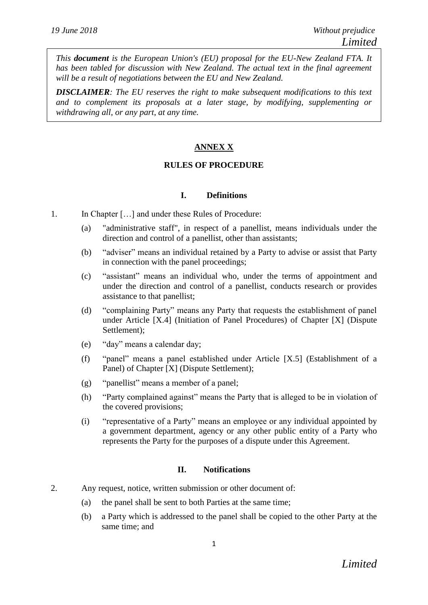*This document is the European Union's (EU) proposal for the EU-New Zealand FTA. It has been tabled for discussion with New Zealand. The actual text in the final agreement will be a result of negotiations between the EU and New Zealand.*

*DISCLAIMER: The EU reserves the right to make subsequent modifications to this text and to complement its proposals at a later stage, by modifying, supplementing or withdrawing all, or any part, at any time.*

## **ANNEX X**

### **RULES OF PROCEDURE**

### **I. Definitions**

- 1. In Chapter […] and under these Rules of Procedure:
	- (a) "administrative staff", in respect of a panellist, means individuals under the direction and control of a panellist, other than assistants;
	- (b) "adviser" means an individual retained by a Party to advise or assist that Party in connection with the panel proceedings;
	- (c) "assistant" means an individual who, under the terms of appointment and under the direction and control of a panellist, conducts research or provides assistance to that panellist;
	- (d) "complaining Party" means any Party that requests the establishment of panel under Article [X.4] (Initiation of Panel Procedures) of Chapter [X] (Dispute Settlement);
	- (e) "day" means a calendar day;
	- (f) "panel" means a panel established under Article [X.5] (Establishment of a Panel) of Chapter [X] (Dispute Settlement);
	- (g) "panellist" means a member of a panel;
	- (h) "Party complained against" means the Party that is alleged to be in violation of the covered provisions;
	- (i) "representative of a Party" means an employee or any individual appointed by a government department, agency or any other public entity of a Party who represents the Party for the purposes of a dispute under this Agreement.

### **II. Notifications**

- 2. Any request, notice, written submission or other document of:
	- (a) the panel shall be sent to both Parties at the same time;
	- (b) a Party which is addressed to the panel shall be copied to the other Party at the same time; and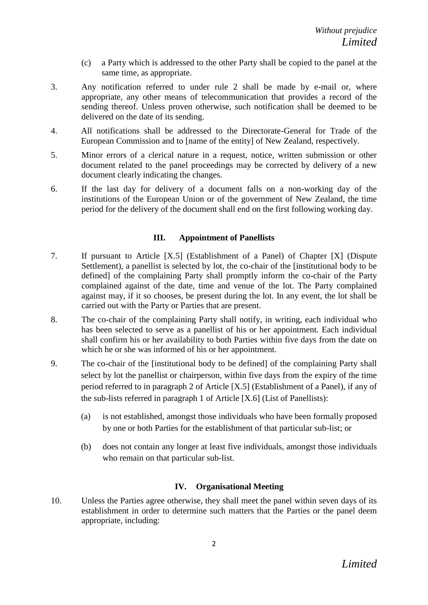- (c) a Party which is addressed to the other Party shall be copied to the panel at the same time, as appropriate.
- 3. Any notification referred to under rule 2 shall be made by e-mail or, where appropriate, any other means of telecommunication that provides a record of the sending thereof. Unless proven otherwise, such notification shall be deemed to be delivered on the date of its sending.
- 4. All notifications shall be addressed to the Directorate-General for Trade of the European Commission and to [name of the entity] of New Zealand, respectively.
- 5. Minor errors of a clerical nature in a request, notice, written submission or other document related to the panel proceedings may be corrected by delivery of a new document clearly indicating the changes.
- 6. If the last day for delivery of a document falls on a non-working day of the institutions of the European Union or of the government of New Zealand, the time period for the delivery of the document shall end on the first following working day.

## **III. Appointment of Panellists**

- 7. If pursuant to Article [X.5] (Establishment of a Panel) of Chapter [X] (Dispute Settlement), a panellist is selected by lot, the co-chair of the [institutional body to be defined] of the complaining Party shall promptly inform the co-chair of the Party complained against of the date, time and venue of the lot. The Party complained against may, if it so chooses, be present during the lot. In any event, the lot shall be carried out with the Party or Parties that are present.
- 8. The co-chair of the complaining Party shall notify, in writing, each individual who has been selected to serve as a panellist of his or her appointment. Each individual shall confirm his or her availability to both Parties within five days from the date on which he or she was informed of his or her appointment.
- 9. The co-chair of the [institutional body to be defined] of the complaining Party shall select by lot the panellist or chairperson, within five days from the expiry of the time period referred to in paragraph 2 of Article [X.5] (Establishment of a Panel), if any of the sub-lists referred in paragraph 1 of Article [X.6] (List of Panellists):
	- (a) is not established, amongst those individuals who have been formally proposed by one or both Parties for the establishment of that particular sub-list; or
	- (b) does not contain any longer at least five individuals, amongst those individuals who remain on that particular sub-list.

# **IV. Organisational Meeting**

10. Unless the Parties agree otherwise, they shall meet the panel within seven days of its establishment in order to determine such matters that the Parties or the panel deem appropriate, including: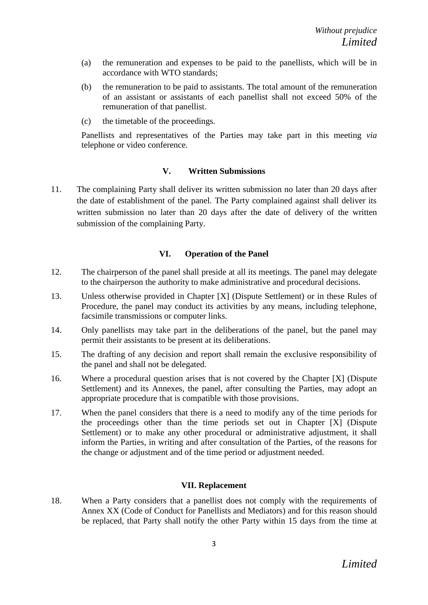- (a) the remuneration and expenses to be paid to the panellists, which will be in accordance with WTO standards;
- (b) the remuneration to be paid to assistants. The total amount of the remuneration of an assistant or assistants of each panellist shall not exceed 50% of the remuneration of that panellist.
- (c) the timetable of the proceedings.

Panellists and representatives of the Parties may take part in this meeting *via*  telephone or video conference.

## **V. Written Submissions**

11. The complaining Party shall deliver its written submission no later than 20 days after the date of establishment of the panel. The Party complained against shall deliver its written submission no later than 20 days after the date of delivery of the written submission of the complaining Party.

## **VI. Operation of the Panel**

- 12. The chairperson of the panel shall preside at all its meetings. The panel may delegate to the chairperson the authority to make administrative and procedural decisions.
- 13. Unless otherwise provided in Chapter [X] (Dispute Settlement) or in these Rules of Procedure, the panel may conduct its activities by any means, including telephone, facsimile transmissions or computer links.
- 14. Only panellists may take part in the deliberations of the panel, but the panel may permit their assistants to be present at its deliberations.
- 15. The drafting of any decision and report shall remain the exclusive responsibility of the panel and shall not be delegated.
- 16. Where a procedural question arises that is not covered by the Chapter [X] (Dispute Settlement) and its Annexes, the panel, after consulting the Parties, may adopt an appropriate procedure that is compatible with those provisions.
- 17. When the panel considers that there is a need to modify any of the time periods for the proceedings other than the time periods set out in Chapter [X] (Dispute Settlement) or to make any other procedural or administrative adjustment, it shall inform the Parties, in writing and after consultation of the Parties, of the reasons for the change or adjustment and of the time period or adjustment needed.

## **VII. Replacement**

18. When a Party considers that a panellist does not comply with the requirements of Annex XX (Code of Conduct for Panellists and Mediators) and for this reason should be replaced, that Party shall notify the other Party within 15 days from the time at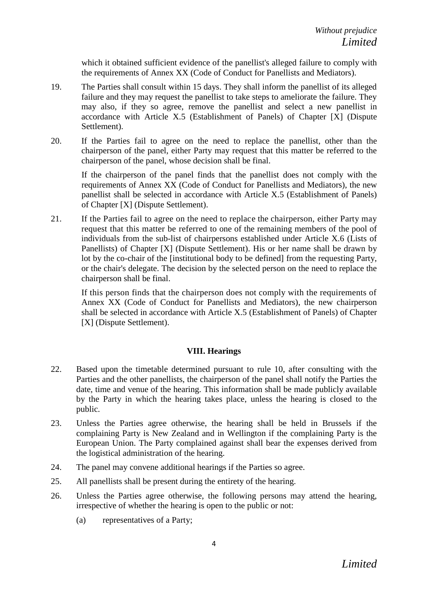which it obtained sufficient evidence of the panellist's alleged failure to comply with the requirements of Annex XX (Code of Conduct for Panellists and Mediators).

- 19. The Parties shall consult within 15 days. They shall inform the panellist of its alleged failure and they may request the panellist to take steps to ameliorate the failure. They may also, if they so agree, remove the panellist and select a new panellist in accordance with Article X.5 (Establishment of Panels) of Chapter [X] (Dispute Settlement).
- 20. If the Parties fail to agree on the need to replace the panellist, other than the chairperson of the panel, either Party may request that this matter be referred to the chairperson of the panel, whose decision shall be final.

If the chairperson of the panel finds that the panellist does not comply with the requirements of Annex XX (Code of Conduct for Panellists and Mediators), the new panellist shall be selected in accordance with Article X.5 (Establishment of Panels) of Chapter [X] (Dispute Settlement).

21. If the Parties fail to agree on the need to replace the chairperson, either Party may request that this matter be referred to one of the remaining members of the pool of individuals from the sub-list of chairpersons established under Article X.6 (Lists of Panellists) of Chapter [X] (Dispute Settlement). His or her name shall be drawn by lot by the co-chair of the [institutional body to be defined] from the requesting Party, or the chair's delegate. The decision by the selected person on the need to replace the chairperson shall be final.

If this person finds that the chairperson does not comply with the requirements of Annex XX (Code of Conduct for Panellists and Mediators), the new chairperson shall be selected in accordance with Article X.5 (Establishment of Panels) of Chapter [X] (Dispute Settlement).

## **VIII. Hearings**

- 22. Based upon the timetable determined pursuant to rule 10, after consulting with the Parties and the other panellists, the chairperson of the panel shall notify the Parties the date, time and venue of the hearing. This information shall be made publicly available by the Party in which the hearing takes place, unless the hearing is closed to the public.
- 23. Unless the Parties agree otherwise, the hearing shall be held in Brussels if the complaining Party is New Zealand and in Wellington if the complaining Party is the European Union. The Party complained against shall bear the expenses derived from the logistical administration of the hearing.
- 24. The panel may convene additional hearings if the Parties so agree.
- 25. All panellists shall be present during the entirety of the hearing.
- 26. Unless the Parties agree otherwise, the following persons may attend the hearing, irrespective of whether the hearing is open to the public or not:
	- (a) representatives of a Party;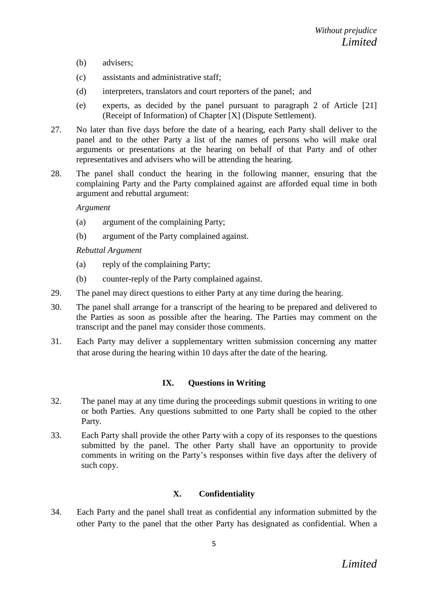- (b) advisers;
- (c) assistants and administrative staff;
- (d) interpreters, translators and court reporters of the panel; and
- (e) experts, as decided by the panel pursuant to paragraph 2 of Article [21] (Receipt of Information) of Chapter [X] (Dispute Settlement).
- 27. No later than five days before the date of a hearing, each Party shall deliver to the panel and to the other Party a list of the names of persons who will make oral arguments or presentations at the hearing on behalf of that Party and of other representatives and advisers who will be attending the hearing.
- 28. The panel shall conduct the hearing in the following manner, ensuring that the complaining Party and the Party complained against are afforded equal time in both argument and rebuttal argument:

#### *Argument*

- (a) argument of the complaining Party;
- (b) argument of the Party complained against.

### *Rebuttal Argument*

- (a) reply of the complaining Party;
- (b) counter-reply of the Party complained against.
- 29. The panel may direct questions to either Party at any time during the hearing.
- 30. The panel shall arrange for a transcript of the hearing to be prepared and delivered to the Parties as soon as possible after the hearing. The Parties may comment on the transcript and the panel may consider those comments.
- 31. Each Party may deliver a supplementary written submission concerning any matter that arose during the hearing within 10 days after the date of the hearing.

### **IX. Questions in Writing**

- 32. The panel may at any time during the proceedings submit questions in writing to one or both Parties. Any questions submitted to one Party shall be copied to the other Party.
- 33. Each Party shall provide the other Party with a copy of its responses to the questions submitted by the panel. The other Party shall have an opportunity to provide comments in writing on the Party's responses within five days after the delivery of such copy.

### **X. Confidentiality**

34. Each Party and the panel shall treat as confidential any information submitted by the other Party to the panel that the other Party has designated as confidential. When a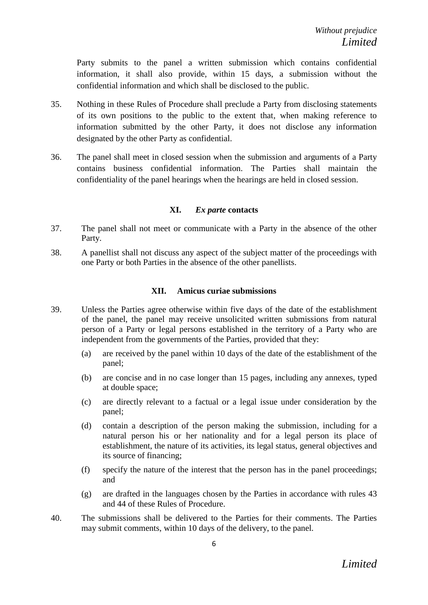Party submits to the panel a written submission which contains confidential information, it shall also provide, within 15 days, a submission without the confidential information and which shall be disclosed to the public.

- 35. Nothing in these Rules of Procedure shall preclude a Party from disclosing statements of its own positions to the public to the extent that, when making reference to information submitted by the other Party, it does not disclose any information designated by the other Party as confidential.
- 36. The panel shall meet in closed session when the submission and arguments of a Party contains business confidential information. The Parties shall maintain the confidentiality of the panel hearings when the hearings are held in closed session.

### **XI.** *Ex parte* **contacts**

- 37. The panel shall not meet or communicate with a Party in the absence of the other Party.
- 38. A panellist shall not discuss any aspect of the subject matter of the proceedings with one Party or both Parties in the absence of the other panellists.

### **XII. Amicus curiae submissions**

- 39. Unless the Parties agree otherwise within five days of the date of the establishment of the panel, the panel may receive unsolicited written submissions from natural person of a Party or legal persons established in the territory of a Party who are independent from the governments of the Parties, provided that they:
	- (a) are received by the panel within 10 days of the date of the establishment of the panel;
	- (b) are concise and in no case longer than 15 pages, including any annexes, typed at double space;
	- (c) are directly relevant to a factual or a legal issue under consideration by the panel;
	- (d) contain a description of the person making the submission, including for a natural person his or her nationality and for a legal person its place of establishment, the nature of its activities, its legal status, general objectives and its source of financing;
	- (f) specify the nature of the interest that the person has in the panel proceedings; and
	- (g) are drafted in the languages chosen by the Parties in accordance with rules 43 and 44 of these Rules of Procedure.
- 40. The submissions shall be delivered to the Parties for their comments. The Parties may submit comments, within 10 days of the delivery, to the panel.